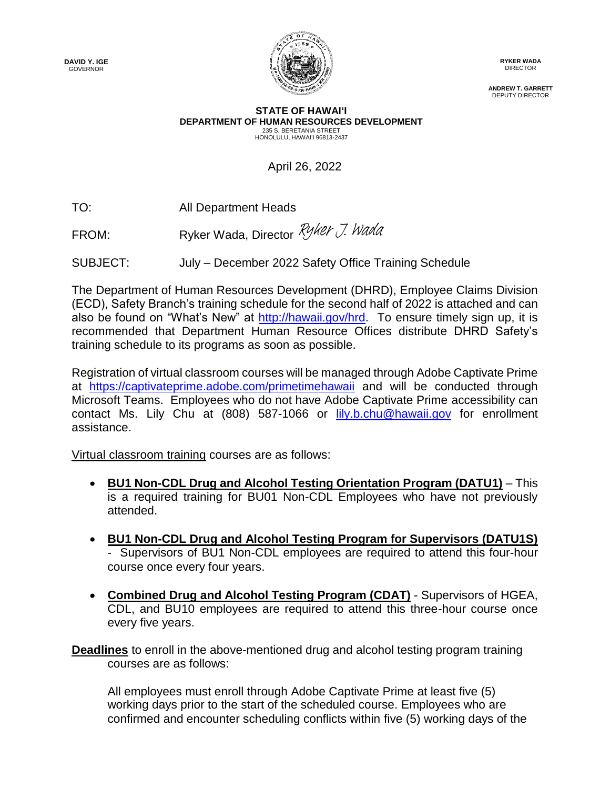**DAVID Y. IGE** GOVERNOR



**RYKER WADA** DIRECTOR

**ANDREW T. GARRETT** DEPUTY DIRECTOR

## **STATE OF HAWAI'I DEPARTMENT OF HUMAN RESOURCES DEVELOPMENT** 235 S. BERETANIA STREET HONOLULU, HAWAI'I 96813-2437

April 26, 2022

TO: All Department Heads

FROM: Prover Wada, Director [Ryker J. Wada](https://stateofhawaii.na1.adobesign.com/verifier?tx=CBJCHBCAABAAbcqx2TZh_w5objw7pUO0TcQ6NJli6iGW)

SUBJECT: July – December 2022 Safety Office Training Schedule

The Department of Human Resources Development (DHRD), Employee Claims Division (ECD), Safety Branch's training schedule for the second half of 2022 is attached and can also be found on "What's New" at [http://hawaii.gov/hrd.](http://hawaii.gov/hrd) To ensure timely sign up, it is recommended that Department Human Resource Offices distribute DHRD Safety's training schedule to its programs as soon as possible.

Registration of virtual classroom courses will be managed through Adobe Captivate Prime at <https://captivateprime.adobe.com/primetimehawaii> and will be conducted through Microsoft Teams. Employees who do not have Adobe Captivate Prime accessibility can contact Ms. Lily Chu at (808) 587-1066 or [lily.b.chu@hawaii.gov](mailto:lily.b.chu@hawaii.gov) for enrollment assistance.

Virtual classroom training courses are as follows:

- **BU1 Non-CDL Drug and Alcohol Testing Orientation Program (DATU1)** This is a required training for BU01 Non-CDL Employees who have not previously attended.
- **BU1 Non-CDL Drug and Alcohol Testing Program for Supervisors (DATU1S)**  - Supervisors of BU1 Non-CDL employees are required to attend this four-hour course once every four years.
- **Combined Drug and Alcohol Testing Program (CDAT)** Supervisors of HGEA, CDL, and BU10 employees are required to attend this three-hour course once every five years.

**Deadlines** to enroll in the above-mentioned drug and alcohol testing program training courses are as follows:

All employees must enroll through Adobe Captivate Prime at least five (5) working days prior to the start of the scheduled course. Employees who are confirmed and encounter scheduling conflicts within five (5) working days of the